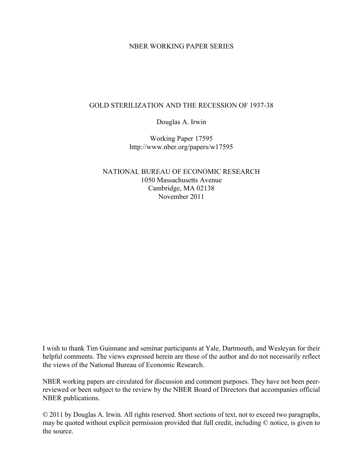## NBER WORKING PAPER SERIES

## GOLD STERILIZATION AND THE RECESSION OF 1937-38

Douglas A. Irwin

Working Paper 17595 http://www.nber.org/papers/w17595

NATIONAL BUREAU OF ECONOMIC RESEARCH 1050 Massachusetts Avenue Cambridge, MA 02138 November 2011

I wish to thank Tim Guinnane and seminar participants at Yale, Dartmouth, and Wesleyan for their helpful comments. The views expressed herein are those of the author and do not necessarily reflect the views of the National Bureau of Economic Research.

NBER working papers are circulated for discussion and comment purposes. They have not been peerreviewed or been subject to the review by the NBER Board of Directors that accompanies official NBER publications.

© 2011 by Douglas A. Irwin. All rights reserved. Short sections of text, not to exceed two paragraphs, may be quoted without explicit permission provided that full credit, including © notice, is given to the source.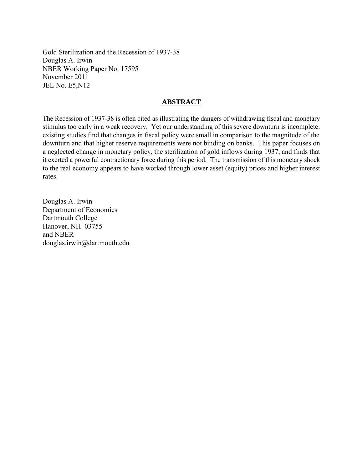Gold Sterilization and the Recession of 1937-38 Douglas A. Irwin NBER Working Paper No. 17595 November 2011 JEL No. E5,N12

# **ABSTRACT**

The Recession of 1937-38 is often cited as illustrating the dangers of withdrawing fiscal and monetary stimulus too early in a weak recovery. Yet our understanding of this severe downturn is incomplete: existing studies find that changes in fiscal policy were small in comparison to the magnitude of the downturn and that higher reserve requirements were not binding on banks. This paper focuses on a neglected change in monetary policy, the sterilization of gold inflows during 1937, and finds that it exerted a powerful contractionary force during this period. The transmission of this monetary shock to the real economy appears to have worked through lower asset (equity) prices and higher interest rates.

Douglas A. Irwin Department of Economics Dartmouth College Hanover, NH 03755 and NBER douglas.irwin@dartmouth.edu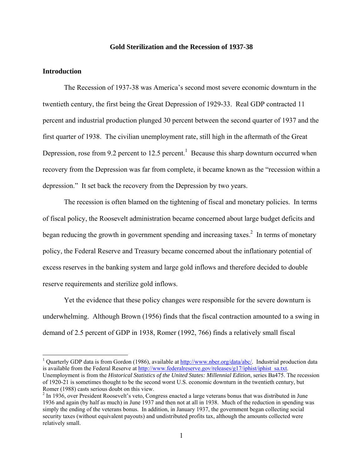#### **Gold Sterilization and the Recession of 1937-38**

#### **Introduction**

1

 The Recession of 1937-38 was America's second most severe economic downturn in the twentieth century, the first being the Great Depression of 1929-33. Real GDP contracted 11 percent and industrial production plunged 30 percent between the second quarter of 1937 and the first quarter of 1938. The civilian unemployment rate, still high in the aftermath of the Great Depression, rose from 9.2 percent to 12.5 percent.<sup>1</sup> Because this sharp downturn occurred when recovery from the Depression was far from complete, it became known as the "recession within a depression." It set back the recovery from the Depression by two years.

 The recession is often blamed on the tightening of fiscal and monetary policies. In terms of fiscal policy, the Roosevelt administration became concerned about large budget deficits and began reducing the growth in government spending and increasing taxes.<sup>2</sup> In terms of monetary policy, the Federal Reserve and Treasury became concerned about the inflationary potential of excess reserves in the banking system and large gold inflows and therefore decided to double reserve requirements and sterilize gold inflows.

 Yet the evidence that these policy changes were responsible for the severe downturn is underwhelming. Although Brown (1956) finds that the fiscal contraction amounted to a swing in demand of 2.5 percent of GDP in 1938, Romer (1992, 766) finds a relatively small fiscal

<sup>&</sup>lt;sup>1</sup> Quarterly GDP data is from Gordon (1986), available at **http://www.nber.org/data/abc/**. Industrial production data is available from the Federal Reserve at http://www.federalreserve.gov/releases/g17/iphist/iphist\_sa.txt. Unemployment is from the *Historical Statistics of the United States: Millennial Edition*, series Ba475. The recession of 1920-21 is sometimes thought to be the second worst U.S. economic downturn in the twentieth century, but Romer (1988) casts serious doubt on this view.

 $2 \text{ In } 1936$ , over President Roosevelt's veto, Congress enacted a large veterans bonus that was distributed in June 1936 and again (by half as much) in June 1937 and then not at all in 1938. Much of the reduction in spending was simply the ending of the veterans bonus. In addition, in January 1937, the government began collecting social security taxes (without equivalent payouts) and undistributed profits tax, although the amounts collected were relatively small.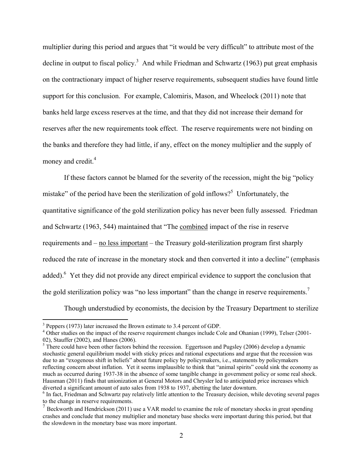multiplier during this period and argues that "it would be very difficult" to attribute most of the decline in output to fiscal policy.<sup>3</sup> And while Friedman and Schwartz (1963) put great emphasis on the contractionary impact of higher reserve requirements, subsequent studies have found little support for this conclusion. For example, Calomiris, Mason, and Wheelock (2011) note that banks held large excess reserves at the time, and that they did not increase their demand for reserves after the new requirements took effect. The reserve requirements were not binding on the banks and therefore they had little, if any, effect on the money multiplier and the supply of money and credit. $4$ 

 If these factors cannot be blamed for the severity of the recession, might the big "policy mistake" of the period have been the sterilization of gold inflows?<sup>5</sup> Unfortunately, the quantitative significance of the gold sterilization policy has never been fully assessed. Friedman and Schwartz (1963, 544) maintained that "The combined impact of the rise in reserve requirements and – no less important – the Treasury gold-sterilization program first sharply reduced the rate of increase in the monetary stock and then converted it into a decline" (emphasis added). <sup>6</sup> Yet they did not provide any direct empirical evidence to support the conclusion that the gold sterilization policy was "no less important" than the change in reserve requirements.<sup>7</sup>

Though understudied by economists, the decision by the Treasury Department to sterilize

 $\overline{a}$ 

 $3$  Peppers (1973) later increased the Brown estimate to 3.4 percent of GDP.

<sup>&</sup>lt;sup>4</sup> Other studies on the impact of the reserve requirement changes include Cole and Ohanian (1999), Telser (2001-02), Stauffer (2002), and Hanes (2006).

 $<sup>5</sup>$  There could have been other factors behind the recession. Eggertsson and Pugsley (2006) develop a dynamic</sup> stochastic general equilibrium model with sticky prices and rational expectations and argue that the recession was due to an "exogenous shift in beliefs" about future policy by policymakers, i.e., statements by policymakers reflecting concern about inflation. Yet it seems implausible to think that "animal spirits" could sink the economy as much as occurred during 1937-38 in the absence of some tangible change in government policy or some real shock. Hausman (2011) finds that unionization at General Motors and Chrysler led to anticipated price increases which diverted a significant amount of auto sales from 1938 to 1937, abetting the later downturn.

<sup>&</sup>lt;sup>6</sup> In fact, Friedman and Schwartz pay relatively little attention to the Treasury decision, while devoting several pages to the change in reserve requirements.

 $\sigma$  Beckworth and Hendrickson (2011) use a VAR model to examine the role of monetary shocks in great spending crashes and conclude that money multiplier and monetary base shocks were important during this period, but that the slowdown in the monetary base was more important.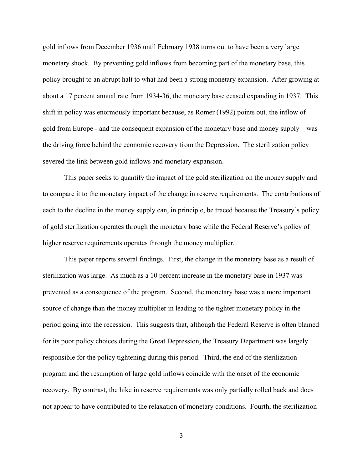gold inflows from December 1936 until February 1938 turns out to have been a very large monetary shock. By preventing gold inflows from becoming part of the monetary base, this policy brought to an abrupt halt to what had been a strong monetary expansion. After growing at about a 17 percent annual rate from 1934-36, the monetary base ceased expanding in 1937. This shift in policy was enormously important because, as Romer (1992) points out, the inflow of gold from Europe - and the consequent expansion of the monetary base and money supply – was the driving force behind the economic recovery from the Depression. The sterilization policy severed the link between gold inflows and monetary expansion.

 This paper seeks to quantify the impact of the gold sterilization on the money supply and to compare it to the monetary impact of the change in reserve requirements. The contributions of each to the decline in the money supply can, in principle, be traced because the Treasury's policy of gold sterilization operates through the monetary base while the Federal Reserve's policy of higher reserve requirements operates through the money multiplier.

This paper reports several findings. First, the change in the monetary base as a result of sterilization was large. As much as a 10 percent increase in the monetary base in 1937 was prevented as a consequence of the program. Second, the monetary base was a more important source of change than the money multiplier in leading to the tighter monetary policy in the period going into the recession. This suggests that, although the Federal Reserve is often blamed for its poor policy choices during the Great Depression, the Treasury Department was largely responsible for the policy tightening during this period. Third, the end of the sterilization program and the resumption of large gold inflows coincide with the onset of the economic recovery. By contrast, the hike in reserve requirements was only partially rolled back and does not appear to have contributed to the relaxation of monetary conditions. Fourth, the sterilization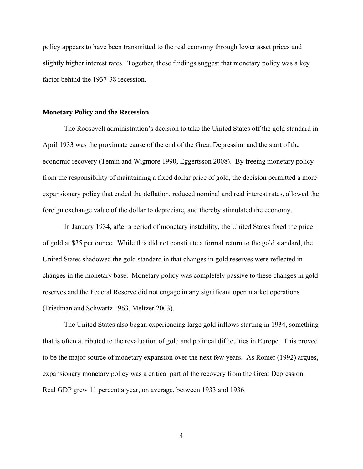policy appears to have been transmitted to the real economy through lower asset prices and slightly higher interest rates. Together, these findings suggest that monetary policy was a key factor behind the 1937-38 recession.

#### **Monetary Policy and the Recession**

 The Roosevelt administration's decision to take the United States off the gold standard in April 1933 was the proximate cause of the end of the Great Depression and the start of the economic recovery (Temin and Wigmore 1990, Eggertsson 2008). By freeing monetary policy from the responsibility of maintaining a fixed dollar price of gold, the decision permitted a more expansionary policy that ended the deflation, reduced nominal and real interest rates, allowed the foreign exchange value of the dollar to depreciate, and thereby stimulated the economy.

 In January 1934, after a period of monetary instability, the United States fixed the price of gold at \$35 per ounce. While this did not constitute a formal return to the gold standard, the United States shadowed the gold standard in that changes in gold reserves were reflected in changes in the monetary base. Monetary policy was completely passive to these changes in gold reserves and the Federal Reserve did not engage in any significant open market operations (Friedman and Schwartz 1963, Meltzer 2003).

 The United States also began experiencing large gold inflows starting in 1934, something that is often attributed to the revaluation of gold and political difficulties in Europe. This proved to be the major source of monetary expansion over the next few years. As Romer (1992) argues, expansionary monetary policy was a critical part of the recovery from the Great Depression. Real GDP grew 11 percent a year, on average, between 1933 and 1936.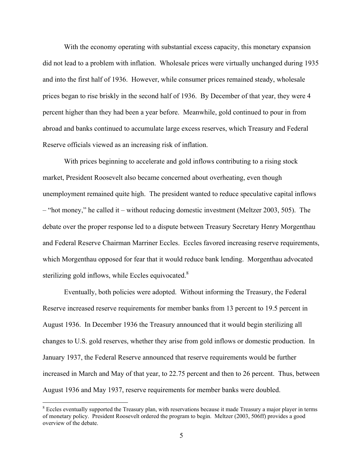With the economy operating with substantial excess capacity, this monetary expansion did not lead to a problem with inflation. Wholesale prices were virtually unchanged during 1935 and into the first half of 1936. However, while consumer prices remained steady, wholesale prices began to rise briskly in the second half of 1936. By December of that year, they were 4 percent higher than they had been a year before. Meanwhile, gold continued to pour in from abroad and banks continued to accumulate large excess reserves, which Treasury and Federal Reserve officials viewed as an increasing risk of inflation.

 With prices beginning to accelerate and gold inflows contributing to a rising stock market, President Roosevelt also became concerned about overheating, even though unemployment remained quite high. The president wanted to reduce speculative capital inflows – "hot money," he called it – without reducing domestic investment (Meltzer 2003, 505). The debate over the proper response led to a dispute between Treasury Secretary Henry Morgenthau and Federal Reserve Chairman Marriner Eccles. Eccles favored increasing reserve requirements, which Morgenthau opposed for fear that it would reduce bank lending. Morgenthau advocated sterilizing gold inflows, while Eccles equivocated. $8$ 

 Eventually, both policies were adopted. Without informing the Treasury, the Federal Reserve increased reserve requirements for member banks from 13 percent to 19.5 percent in August 1936. In December 1936 the Treasury announced that it would begin sterilizing all changes to U.S. gold reserves, whether they arise from gold inflows or domestic production. In January 1937, the Federal Reserve announced that reserve requirements would be further increased in March and May of that year, to 22.75 percent and then to 26 percent. Thus, between August 1936 and May 1937, reserve requirements for member banks were doubled.

 $\overline{a}$ 

<sup>&</sup>lt;sup>8</sup> Eccles eventually supported the Treasury plan, with reservations because it made Treasury a major player in terms of monetary policy. President Roosevelt ordered the program to begin. Meltzer (2003, 506ff) provides a good overview of the debate.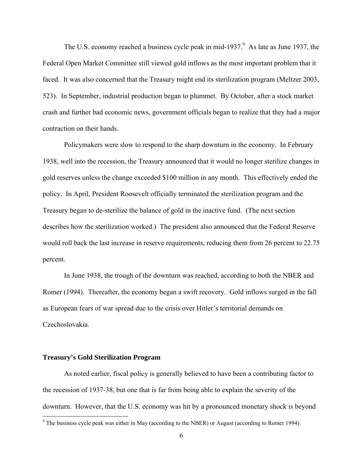The U.S. economy reached a business cycle peak in mid-1937.<sup>9</sup> As late as June 1937, the Federal Open Market Committee still viewed gold inflows as the most important problem that it faced. It was also concerned that the Treasury might end its sterilization program (Meltzer 2003, 523). In September, industrial production began to plummet. By October, after a stock market crash and further bad economic news, government officials began to realize that they had a major contraction on their hands.

 Policymakers were slow to respond to the sharp downturn in the economy. In February 1938, well into the recession, the Treasury announced that it would no longer sterilize changes in gold reserves unless the change exceeded \$100 million in any month. This effectively ended the policy. In April, President Roosevelt officially terminated the sterilization program and the Treasury began to de-sterilize the balance of gold in the inactive fund. (The next section describes how the sterilization worked.) The president also announced that the Federal Reserve would roll back the last increase in reserve requirements, reducing them from 26 percent to 22.75 percent.

 In June 1938, the trough of the downturn was reached, according to both the NBER and Romer (1994). Thereafter, the economy began a swift recovery. Gold inflows surged in the fall as European fears of war spread due to the crisis over Hitler's territorial demands on Czechoslovakia.

#### **Treasury's Gold Sterilization Program**

 As noted earlier, fiscal policy is generally believed to have been a contributing factor to the recession of 1937-38, but one that is far from being able to explain the severity of the downturn. However, that the U.S. economy was hit by a pronounced monetary shock is beyond

The business cycle peak was either in May (according to the NBER) or August (according to Romer 1994).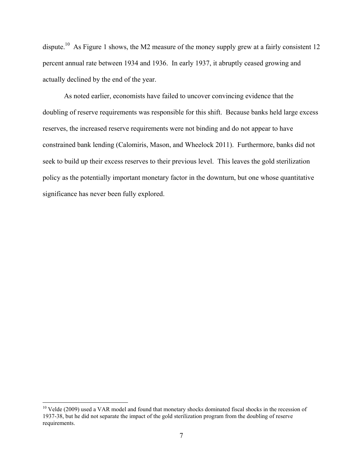dispute.<sup>10</sup> As Figure 1 shows, the M2 measure of the money supply grew at a fairly consistent 12 percent annual rate between 1934 and 1936. In early 1937, it abruptly ceased growing and actually declined by the end of the year.

 As noted earlier, economists have failed to uncover convincing evidence that the doubling of reserve requirements was responsible for this shift. Because banks held large excess reserves, the increased reserve requirements were not binding and do not appear to have constrained bank lending (Calomiris, Mason, and Wheelock 2011). Furthermore, banks did not seek to build up their excess reserves to their previous level. This leaves the gold sterilization policy as the potentially important monetary factor in the downturn, but one whose quantitative significance has never been fully explored.

 $\overline{a}$ 

<sup>&</sup>lt;sup>10</sup> Velde (2009) used a VAR model and found that monetary shocks dominated fiscal shocks in the recession of 1937-38, but he did not separate the impact of the gold sterilization program from the doubling of reserve requirements.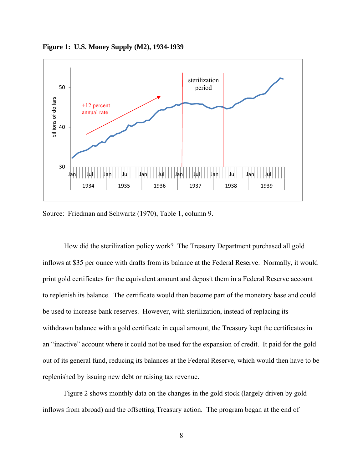

**Figure 1: U.S. Money Supply (M2), 1934-1939** 

Source: Friedman and Schwartz (1970), Table 1, column 9.

 How did the sterilization policy work? The Treasury Department purchased all gold inflows at \$35 per ounce with drafts from its balance at the Federal Reserve. Normally, it would print gold certificates for the equivalent amount and deposit them in a Federal Reserve account to replenish its balance. The certificate would then become part of the monetary base and could be used to increase bank reserves. However, with sterilization, instead of replacing its withdrawn balance with a gold certificate in equal amount, the Treasury kept the certificates in an "inactive" account where it could not be used for the expansion of credit. It paid for the gold out of its general fund, reducing its balances at the Federal Reserve, which would then have to be replenished by issuing new debt or raising tax revenue.

 Figure 2 shows monthly data on the changes in the gold stock (largely driven by gold inflows from abroad) and the offsetting Treasury action. The program began at the end of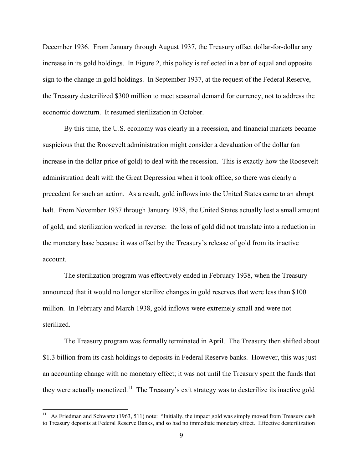December 1936. From January through August 1937, the Treasury offset dollar-for-dollar any increase in its gold holdings. In Figure 2, this policy is reflected in a bar of equal and opposite sign to the change in gold holdings. In September 1937, at the request of the Federal Reserve, the Treasury desterilized \$300 million to meet seasonal demand for currency, not to address the economic downturn. It resumed sterilization in October.

 By this time, the U.S. economy was clearly in a recession, and financial markets became suspicious that the Roosevelt administration might consider a devaluation of the dollar (an increase in the dollar price of gold) to deal with the recession. This is exactly how the Roosevelt administration dealt with the Great Depression when it took office, so there was clearly a precedent for such an action. As a result, gold inflows into the United States came to an abrupt halt. From November 1937 through January 1938, the United States actually lost a small amount of gold, and sterilization worked in reverse: the loss of gold did not translate into a reduction in the monetary base because it was offset by the Treasury's release of gold from its inactive account.

The sterilization program was effectively ended in February 1938, when the Treasury announced that it would no longer sterilize changes in gold reserves that were less than \$100 million. In February and March 1938, gold inflows were extremely small and were not sterilized.

The Treasury program was formally terminated in April. The Treasury then shifted about \$1.3 billion from its cash holdings to deposits in Federal Reserve banks. However, this was just an accounting change with no monetary effect; it was not until the Treasury spent the funds that they were actually monetized.<sup>11</sup> The Treasury's exit strategy was to desterilize its inactive gold

As Friedman and Schwartz (1963, 511) note: "Initially, the impact gold was simply moved from Treasury cash to Treasury deposits at Federal Reserve Banks, and so had no immediate monetary effect. Effective desterilization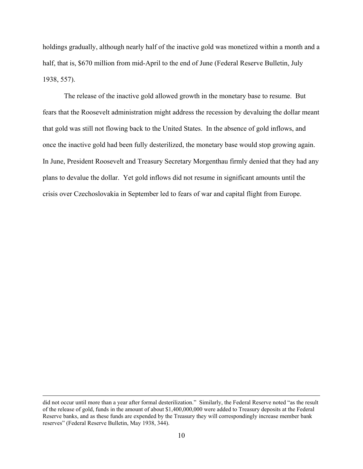holdings gradually, although nearly half of the inactive gold was monetized within a month and a half, that is, \$670 million from mid-April to the end of June (Federal Reserve Bulletin, July 1938, 557).

The release of the inactive gold allowed growth in the monetary base to resume. But fears that the Roosevelt administration might address the recession by devaluing the dollar meant that gold was still not flowing back to the United States. In the absence of gold inflows, and once the inactive gold had been fully desterilized, the monetary base would stop growing again. In June, President Roosevelt and Treasury Secretary Morgenthau firmly denied that they had any plans to devalue the dollar. Yet gold inflows did not resume in significant amounts until the crisis over Czechoslovakia in September led to fears of war and capital flight from Europe.

did not occur until more than a year after formal desterilization." Similarly, the Federal Reserve noted "as the result of the release of gold, funds in the amount of about \$1,400,000,000 were added to Treasury deposits at the Federal Reserve banks, and as these funds are expended by the Treasury they will correspondingly increase member bank reserves" (Federal Reserve Bulletin, May 1938, 344).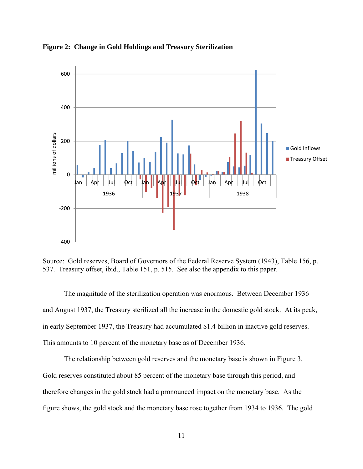

**Figure 2: Change in Gold Holdings and Treasury Sterilization** 

Source: Gold reserves, Board of Governors of the Federal Reserve System (1943), Table 156, p. 537. Treasury offset, ibid., Table 151, p. 515. See also the appendix to this paper.

 The magnitude of the sterilization operation was enormous. Between December 1936 and August 1937, the Treasury sterilized all the increase in the domestic gold stock. At its peak, in early September 1937, the Treasury had accumulated \$1.4 billion in inactive gold reserves. This amounts to 10 percent of the monetary base as of December 1936.

The relationship between gold reserves and the monetary base is shown in Figure 3. Gold reserves constituted about 85 percent of the monetary base through this period, and therefore changes in the gold stock had a pronounced impact on the monetary base. As the figure shows, the gold stock and the monetary base rose together from 1934 to 1936. The gold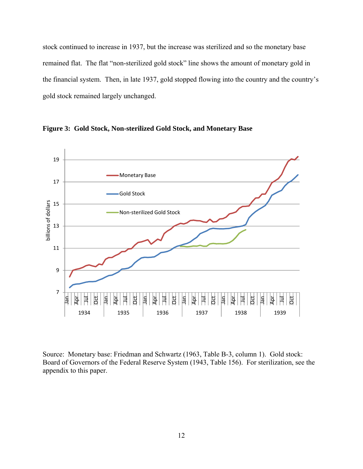stock continued to increase in 1937, but the increase was sterilized and so the monetary base remained flat. The flat "non-sterilized gold stock" line shows the amount of monetary gold in the financial system. Then, in late 1937, gold stopped flowing into the country and the country's gold stock remained largely unchanged.



**Figure 3: Gold Stock, Non-sterilized Gold Stock, and Monetary Base** 

Source: Monetary base: Friedman and Schwartz (1963, Table B-3, column 1). Gold stock: Board of Governors of the Federal Reserve System (1943, Table 156). For sterilization, see the appendix to this paper.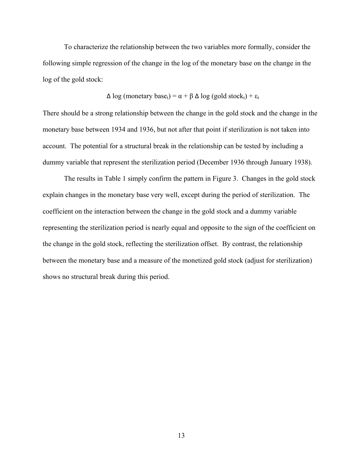To characterize the relationship between the two variables more formally, consider the following simple regression of the change in the log of the monetary base on the change in the log of the gold stock:

$$
\Delta \log \left( \text{monetary base}_{t} \right) = \alpha + \beta \Delta \log \left( \text{gold stock}_{t} \right) + \varepsilon_{t}
$$

There should be a strong relationship between the change in the gold stock and the change in the monetary base between 1934 and 1936, but not after that point if sterilization is not taken into account. The potential for a structural break in the relationship can be tested by including a dummy variable that represent the sterilization period (December 1936 through January 1938).

 The results in Table 1 simply confirm the pattern in Figure 3. Changes in the gold stock explain changes in the monetary base very well, except during the period of sterilization. The coefficient on the interaction between the change in the gold stock and a dummy variable representing the sterilization period is nearly equal and opposite to the sign of the coefficient on the change in the gold stock, reflecting the sterilization offset. By contrast, the relationship between the monetary base and a measure of the monetized gold stock (adjust for sterilization) shows no structural break during this period.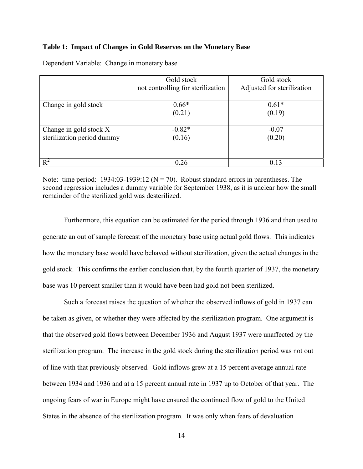#### **Table 1: Impact of Changes in Gold Reserves on the Monetary Base**

|                            | Gold stock                        | Gold stock                 |
|----------------------------|-----------------------------------|----------------------------|
|                            | not controlling for sterilization | Adjusted for sterilization |
|                            |                                   |                            |
| Change in gold stock       | $0.66*$                           | $0.61*$                    |
|                            | (0.21)                            | (0.19)                     |
|                            |                                   |                            |
| Change in gold stock X     | $-0.82*$                          | $-0.07$                    |
| sterilization period dummy | (0.16)                            | (0.20)                     |
|                            |                                   |                            |
|                            |                                   |                            |
| $R^2$                      | 0.26                              | 0.13                       |

Dependent Variable: Change in monetary base

Note: time period: 1934:03-1939:12 ( $N = 70$ ). Robust standard errors in parentheses. The second regression includes a dummy variable for September 1938, as it is unclear how the small remainder of the sterilized gold was desterilized.

 Furthermore, this equation can be estimated for the period through 1936 and then used to generate an out of sample forecast of the monetary base using actual gold flows. This indicates how the monetary base would have behaved without sterilization, given the actual changes in the gold stock. This confirms the earlier conclusion that, by the fourth quarter of 1937, the monetary base was 10 percent smaller than it would have been had gold not been sterilized.

 Such a forecast raises the question of whether the observed inflows of gold in 1937 can be taken as given, or whether they were affected by the sterilization program. One argument is that the observed gold flows between December 1936 and August 1937 were unaffected by the sterilization program. The increase in the gold stock during the sterilization period was not out of line with that previously observed. Gold inflows grew at a 15 percent average annual rate between 1934 and 1936 and at a 15 percent annual rate in 1937 up to October of that year. The ongoing fears of war in Europe might have ensured the continued flow of gold to the United States in the absence of the sterilization program. It was only when fears of devaluation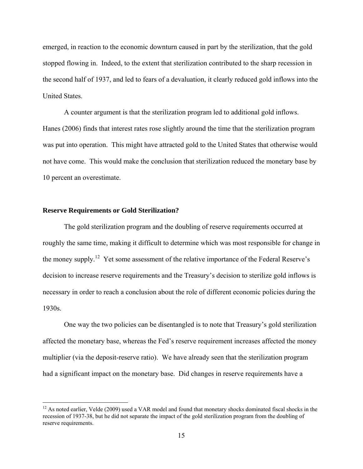emerged, in reaction to the economic downturn caused in part by the sterilization, that the gold stopped flowing in. Indeed, to the extent that sterilization contributed to the sharp recession in the second half of 1937, and led to fears of a devaluation, it clearly reduced gold inflows into the United States.

 A counter argument is that the sterilization program led to additional gold inflows. Hanes (2006) finds that interest rates rose slightly around the time that the sterilization program was put into operation. This might have attracted gold to the United States that otherwise would not have come. This would make the conclusion that sterilization reduced the monetary base by 10 percent an overestimate.

#### **Reserve Requirements or Gold Sterilization?**

 $\overline{a}$ 

 The gold sterilization program and the doubling of reserve requirements occurred at roughly the same time, making it difficult to determine which was most responsible for change in the money supply.<sup>12</sup> Yet some assessment of the relative importance of the Federal Reserve's decision to increase reserve requirements and the Treasury's decision to sterilize gold inflows is necessary in order to reach a conclusion about the role of different economic policies during the 1930s.

 One way the two policies can be disentangled is to note that Treasury's gold sterilization affected the monetary base, whereas the Fed's reserve requirement increases affected the money multiplier (via the deposit-reserve ratio). We have already seen that the sterilization program had a significant impact on the monetary base. Did changes in reserve requirements have a

 $12$  As noted earlier, Velde (2009) used a VAR model and found that monetary shocks dominated fiscal shocks in the recession of 1937-38, but he did not separate the impact of the gold sterilization program from the doubling of reserve requirements.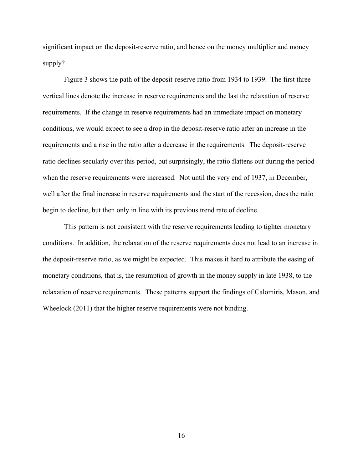significant impact on the deposit-reserve ratio, and hence on the money multiplier and money supply?

 Figure 3 shows the path of the deposit-reserve ratio from 1934 to 1939. The first three vertical lines denote the increase in reserve requirements and the last the relaxation of reserve requirements. If the change in reserve requirements had an immediate impact on monetary conditions, we would expect to see a drop in the deposit-reserve ratio after an increase in the requirements and a rise in the ratio after a decrease in the requirements. The deposit-reserve ratio declines secularly over this period, but surprisingly, the ratio flattens out during the period when the reserve requirements were increased. Not until the very end of 1937, in December, well after the final increase in reserve requirements and the start of the recession, does the ratio begin to decline, but then only in line with its previous trend rate of decline.

 This pattern is not consistent with the reserve requirements leading to tighter monetary conditions. In addition, the relaxation of the reserve requirements does not lead to an increase in the deposit-reserve ratio, as we might be expected. This makes it hard to attribute the easing of monetary conditions, that is, the resumption of growth in the money supply in late 1938, to the relaxation of reserve requirements. These patterns support the findings of Calomiris, Mason, and Wheelock (2011) that the higher reserve requirements were not binding.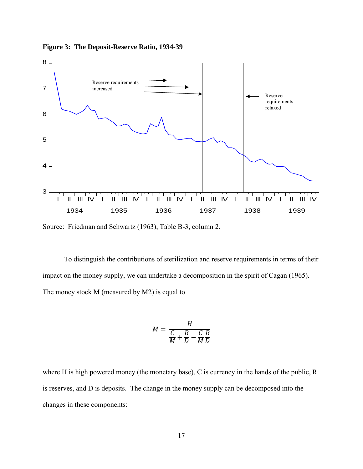

**Figure 3: The Deposit-Reserve Ratio, 1934-39** 

Source: Friedman and Schwartz (1963), Table B-3, column 2.

 To distinguish the contributions of sterilization and reserve requirements in terms of their impact on the money supply, we can undertake a decomposition in the spirit of Cagan (1965). The money stock M (measured by M2) is equal to

$$
M = \frac{H}{\frac{C}{M} + \frac{R}{D} - \frac{C}{M}\frac{R}{D}}
$$

where H is high powered money (the monetary base), C is currency in the hands of the public, R is reserves, and D is deposits. The change in the money supply can be decomposed into the changes in these components: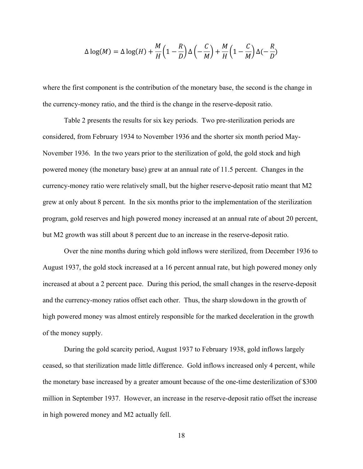$$
\Delta \log(M) = \Delta \log(H) + \frac{M}{H} \left( 1 - \frac{R}{D} \right) \Delta \left( -\frac{C}{M} \right) + \frac{M}{H} \left( 1 - \frac{C}{M} \right) \Delta(-\frac{R}{D})
$$

where the first component is the contribution of the monetary base, the second is the change in the currency-money ratio, and the third is the change in the reserve-deposit ratio.

 Table 2 presents the results for six key periods. Two pre-sterilization periods are considered, from February 1934 to November 1936 and the shorter six month period May-November 1936. In the two years prior to the sterilization of gold, the gold stock and high powered money (the monetary base) grew at an annual rate of 11.5 percent. Changes in the currency-money ratio were relatively small, but the higher reserve-deposit ratio meant that M2 grew at only about 8 percent. In the six months prior to the implementation of the sterilization program, gold reserves and high powered money increased at an annual rate of about 20 percent, but M2 growth was still about 8 percent due to an increase in the reserve-deposit ratio.

 Over the nine months during which gold inflows were sterilized, from December 1936 to August 1937, the gold stock increased at a 16 percent annual rate, but high powered money only increased at about a 2 percent pace. During this period, the small changes in the reserve-deposit and the currency-money ratios offset each other. Thus, the sharp slowdown in the growth of high powered money was almost entirely responsible for the marked deceleration in the growth of the money supply.

 During the gold scarcity period, August 1937 to February 1938, gold inflows largely ceased, so that sterilization made little difference. Gold inflows increased only 4 percent, while the monetary base increased by a greater amount because of the one-time desterilization of \$300 million in September 1937. However, an increase in the reserve-deposit ratio offset the increase in high powered money and M2 actually fell.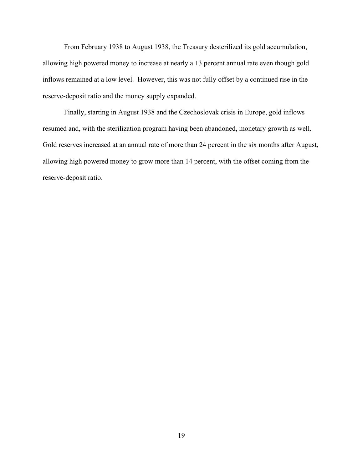From February 1938 to August 1938, the Treasury desterilized its gold accumulation, allowing high powered money to increase at nearly a 13 percent annual rate even though gold inflows remained at a low level. However, this was not fully offset by a continued rise in the reserve-deposit ratio and the money supply expanded.

 Finally, starting in August 1938 and the Czechoslovak crisis in Europe, gold inflows resumed and, with the sterilization program having been abandoned, monetary growth as well. Gold reserves increased at an annual rate of more than 24 percent in the six months after August, allowing high powered money to grow more than 14 percent, with the offset coming from the reserve-deposit ratio.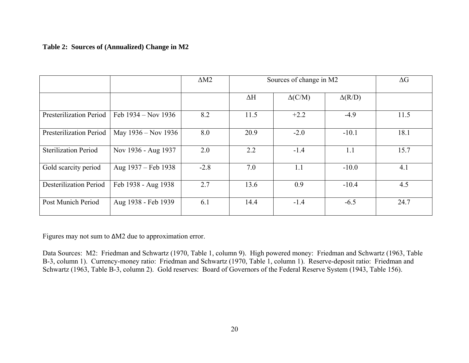# **Table 2: Sources of (Annualized) Change in M2**

|                             |                       | $\Delta M2$ | Sources of change in M2 |                | $\Delta G$    |      |
|-----------------------------|-----------------------|-------------|-------------------------|----------------|---------------|------|
|                             |                       |             | $\Delta H$              | $\Delta$ (C/M) | $\Delta(R/D)$ |      |
| Presterilization Period     | Feb $1934 - Nov 1936$ | 8.2         | 11.5                    | $+2.2$         | $-4.9$        | 11.5 |
| Presterilization Period     | May 1936 – Nov 1936   | 8.0         | 20.9                    | $-2.0$         | $-10.1$       | 18.1 |
| <b>Sterilization Period</b> | Nov 1936 - Aug 1937   | 2.0         | 2.2                     | $-1.4$         | 1.1           | 15.7 |
| Gold scarcity period        | Aug 1937 – Feb 1938   | $-2.8$      | 7.0                     | 1.1            | $-10.0$       | 4.1  |
| Desterilization Period      | Feb 1938 - Aug 1938   | 2.7         | 13.6                    | 0.9            | $-10.4$       | 4.5  |
| Post Munich Period          | Aug 1938 - Feb 1939   | 6.1         | 14.4                    | $-1.4$         | $-6.5$        | 24.7 |

Figures may not sum to ΔM2 due to approximation error.

Data Sources: M2: Friedman and Schwartz (1970, Table 1, column 9). High powered money: Friedman and Schwartz (1963, Table B-3, column 1). Currency-money ratio: Friedman and Schwartz (1970, Table 1, column 1). Reserve-deposit ratio: Friedman and Schwartz (1963, Table B-3, column 2). Gold reserves: Board of Governors of the Federal Reserve System (1943, Table 156).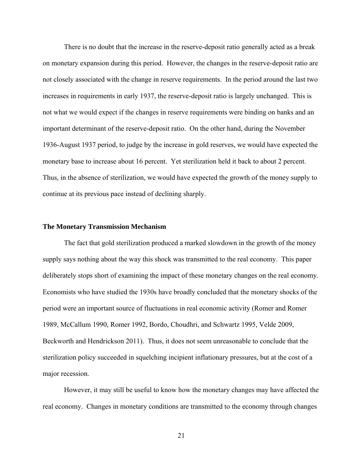There is no doubt that the increase in the reserve-deposit ratio generally acted as a break on monetary expansion during this period. However, the changes in the reserve-deposit ratio are not closely associated with the change in reserve requirements. In the period around the last two increases in requirements in early 1937, the reserve-deposit ratio is largely unchanged. This is not what we would expect if the changes in reserve requirements were binding on banks and an important determinant of the reserve-deposit ratio. On the other hand, during the November 1936-August 1937 period, to judge by the increase in gold reserves, we would have expected the monetary base to increase about 16 percent. Yet sterilization held it back to about 2 percent. Thus, in the absence of sterilization, we would have expected the growth of the money supply to continue at its previous pace instead of declining sharply.

#### **The Monetary Transmission Mechanism**

 The fact that gold sterilization produced a marked slowdown in the growth of the money supply says nothing about the way this shock was transmitted to the real economy. This paper deliberately stops short of examining the impact of these monetary changes on the real economy. Economists who have studied the 1930s have broadly concluded that the monetary shocks of the period were an important source of fluctuations in real economic activity (Romer and Romer 1989, McCallum 1990, Romer 1992, Bordo, Choudhri, and Schwartz 1995, Velde 2009, Beckworth and Hendrickson 2011). Thus, it does not seem unreasonable to conclude that the sterilization policy succeeded in squelching incipient inflationary pressures, but at the cost of a major recession.

 However, it may still be useful to know how the monetary changes may have affected the real economy. Changes in monetary conditions are transmitted to the economy through changes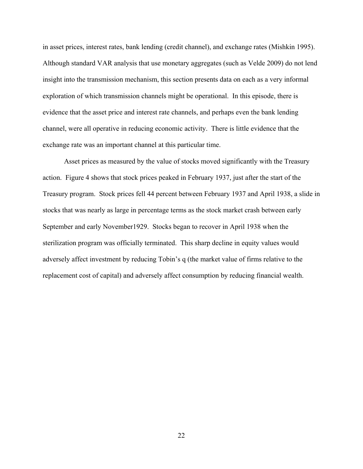in asset prices, interest rates, bank lending (credit channel), and exchange rates (Mishkin 1995). Although standard VAR analysis that use monetary aggregates (such as Velde 2009) do not lend insight into the transmission mechanism, this section presents data on each as a very informal exploration of which transmission channels might be operational. In this episode, there is evidence that the asset price and interest rate channels, and perhaps even the bank lending channel, were all operative in reducing economic activity. There is little evidence that the exchange rate was an important channel at this particular time.

 Asset prices as measured by the value of stocks moved significantly with the Treasury action. Figure 4 shows that stock prices peaked in February 1937, just after the start of the Treasury program. Stock prices fell 44 percent between February 1937 and April 1938, a slide in stocks that was nearly as large in percentage terms as the stock market crash between early September and early November1929. Stocks began to recover in April 1938 when the sterilization program was officially terminated. This sharp decline in equity values would adversely affect investment by reducing Tobin's q (the market value of firms relative to the replacement cost of capital) and adversely affect consumption by reducing financial wealth.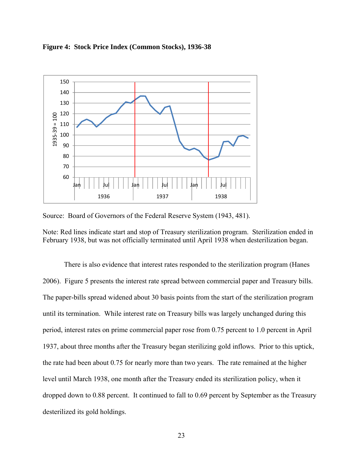

**Figure 4: Stock Price Index (Common Stocks), 1936-38** 

Source: Board of Governors of the Federal Reserve System (1943, 481).

Note: Red lines indicate start and stop of Treasury sterilization program. Sterilization ended in February 1938, but was not officially terminated until April 1938 when desterilization began.

 There is also evidence that interest rates responded to the sterilization program (Hanes 2006). Figure 5 presents the interest rate spread between commercial paper and Treasury bills. The paper-bills spread widened about 30 basis points from the start of the sterilization program until its termination. While interest rate on Treasury bills was largely unchanged during this period, interest rates on prime commercial paper rose from 0.75 percent to 1.0 percent in April 1937, about three months after the Treasury began sterilizing gold inflows. Prior to this uptick, the rate had been about 0.75 for nearly more than two years. The rate remained at the higher level until March 1938, one month after the Treasury ended its sterilization policy, when it dropped down to 0.88 percent. It continued to fall to 0.69 percent by September as the Treasury desterilized its gold holdings.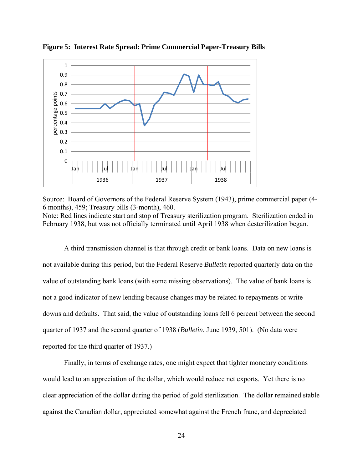

**Figure 5: Interest Rate Spread: Prime Commercial Paper-Treasury Bills** 

Source: Board of Governors of the Federal Reserve System (1943), prime commercial paper (4- 6 months), 459; Treasury bills (3-month), 460. Note: Red lines indicate start and stop of Treasury sterilization program. Sterilization ended in February 1938, but was not officially terminated until April 1938 when desterilization began.

 A third transmission channel is that through credit or bank loans. Data on new loans is not available during this period, but the Federal Reserve *Bulletin* reported quarterly data on the value of outstanding bank loans (with some missing observations). The value of bank loans is not a good indicator of new lending because changes may be related to repayments or write downs and defaults. That said, the value of outstanding loans fell 6 percent between the second quarter of 1937 and the second quarter of 1938 (*Bulletin*, June 1939, 501). (No data were reported for the third quarter of 1937.)

 Finally, in terms of exchange rates, one might expect that tighter monetary conditions would lead to an appreciation of the dollar, which would reduce net exports. Yet there is no clear appreciation of the dollar during the period of gold sterilization. The dollar remained stable against the Canadian dollar, appreciated somewhat against the French franc, and depreciated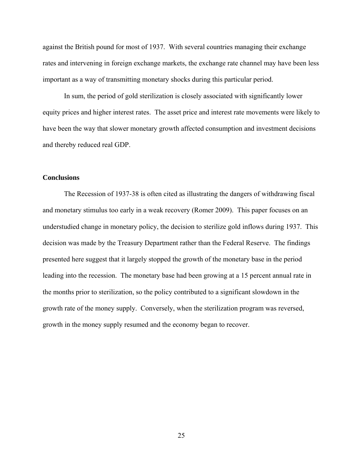against the British pound for most of 1937. With several countries managing their exchange rates and intervening in foreign exchange markets, the exchange rate channel may have been less important as a way of transmitting monetary shocks during this particular period.

 In sum, the period of gold sterilization is closely associated with significantly lower equity prices and higher interest rates. The asset price and interest rate movements were likely to have been the way that slower monetary growth affected consumption and investment decisions and thereby reduced real GDP.

## **Conclusions**

 The Recession of 1937-38 is often cited as illustrating the dangers of withdrawing fiscal and monetary stimulus too early in a weak recovery (Romer 2009). This paper focuses on an understudied change in monetary policy, the decision to sterilize gold inflows during 1937. This decision was made by the Treasury Department rather than the Federal Reserve. The findings presented here suggest that it largely stopped the growth of the monetary base in the period leading into the recession. The monetary base had been growing at a 15 percent annual rate in the months prior to sterilization, so the policy contributed to a significant slowdown in the growth rate of the money supply. Conversely, when the sterilization program was reversed, growth in the money supply resumed and the economy began to recover.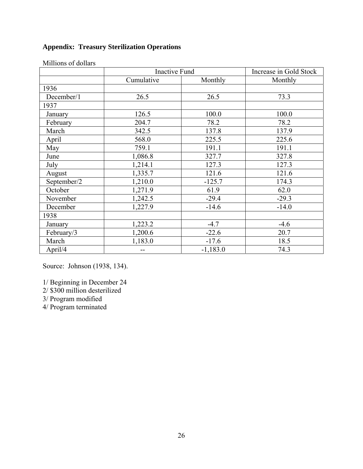# **Appendix: Treasury Sterilization Operations**

|             | <b>Inactive Fund</b> |            | Increase in Gold Stock |  |
|-------------|----------------------|------------|------------------------|--|
|             | Cumulative           | Monthly    | Monthly                |  |
| 1936        |                      |            |                        |  |
| December/1  | 26.5                 | 26.5       | 73.3                   |  |
| 1937        |                      |            |                        |  |
| January     | 126.5                | 100.0      | 100.0                  |  |
| February    | 204.7                | 78.2       | 78.2                   |  |
| March       | 342.5                | 137.8      | 137.9                  |  |
| April       | 568.0                | 225.5      | 225.6                  |  |
| May         | 759.1                | 191.1      | 191.1                  |  |
| June        | 1,086.8              | 327.7      | 327.8                  |  |
| July        | 1,214.1              | 127.3      | 127.3                  |  |
| August      | 1,335.7              | 121.6      | 121.6                  |  |
| September/2 | 1,210.0              | $-125.7$   | 174.3                  |  |
| October     | 1,271.9              | 61.9       | 62.0                   |  |
| November    | 1,242.5              | $-29.4$    | $-29.3$                |  |
| December    | 1,227.9              | $-14.6$    | $-14.0$                |  |
| 1938        |                      |            |                        |  |
| January     | 1,223.2              | $-4.7$     | $-4.6$                 |  |
| February/3  | 1,200.6              | $-22.6$    | 20.7                   |  |
| March       | 1,183.0              | $-17.6$    | 18.5                   |  |
| April/4     | --                   | $-1,183.0$ | 74.3                   |  |

Millions of dollars

Source: Johnson (1938, 134).

1/ Beginning in December 24

2/ \$300 million desterilized

3/ Program modified

4/ Program terminated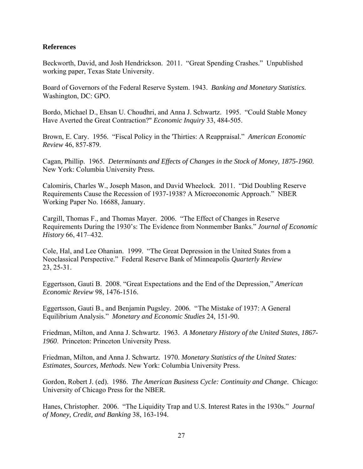# **References**

Beckworth, David, and Josh Hendrickson. 2011. "Great Spending Crashes." Unpublished working paper, Texas State University.

Board of Governors of the Federal Reserve System. 1943. *Banking and Monetary Statistics.*  Washington, DC: GPO.

Bordo, Michael D., Ehsan U. Choudhri, and Anna J. Schwartz. 1995. "Could Stable Money Have Averted the Great Contraction?" *Economic Inquiry* 33, 484-505.

Brown, E. Cary. 1956. "Fiscal Policy in the 'Thirties: A Reappraisal." *American Economic Review* 46, 857-879.

Cagan, Phillip. 1965. *Determinants and Effects of Changes in the Stock of Money, 1875-1960*. New York: Columbia University Press.

Calomiris, Charles W., Joseph Mason, and David Wheelock. 2011. "Did Doubling Reserve Requirements Cause the Recession of 1937-1938? A Microeconomic Approach." NBER Working Paper No. 16688, January.

Cargill, Thomas F., and Thomas Mayer. 2006. "The Effect of Changes in Reserve Requirements During the 1930's: The Evidence from Nonmember Banks." *Journal of Economic History* 66, 417–432.

Cole, Hal, and Lee Ohanian. 1999. "The Great Depression in the United States from a Neoclassical Perspective." Federal Reserve Bank of Minneapolis *Quarterly Review* 23, 25-31.

Eggertsson, Gauti B. 2008. "Great Expectations and the End of the Depression," *American Economic Review* 98, 1476-1516.

Eggertsson, Gauti B., and Benjamin Pugsley. 2006. "The Mistake of 1937: A General Equilibrium Analysis." *Monetary and Economic Studies* 24, 151-90.

Friedman, Milton, and Anna J. Schwartz. 1963. *A Monetary History of the United States, 1867- 1960*. Princeton: Princeton University Press.

Friedman, Milton, and Anna J. Schwartz. 1970. *Monetary Statistics of the United States: Estimates, Sources, Methods*. New York: Columbia University Press.

Gordon, Robert J. (ed). 1986. *The American Business Cycle: Continuity and Change*. Chicago: University of Chicago Press for the NBER.

Hanes, Christopher. 2006. "The Liquidity Trap and U.S. Interest Rates in the 1930s." *Journal of Money, Credit, and Banking* 38, 163-194.